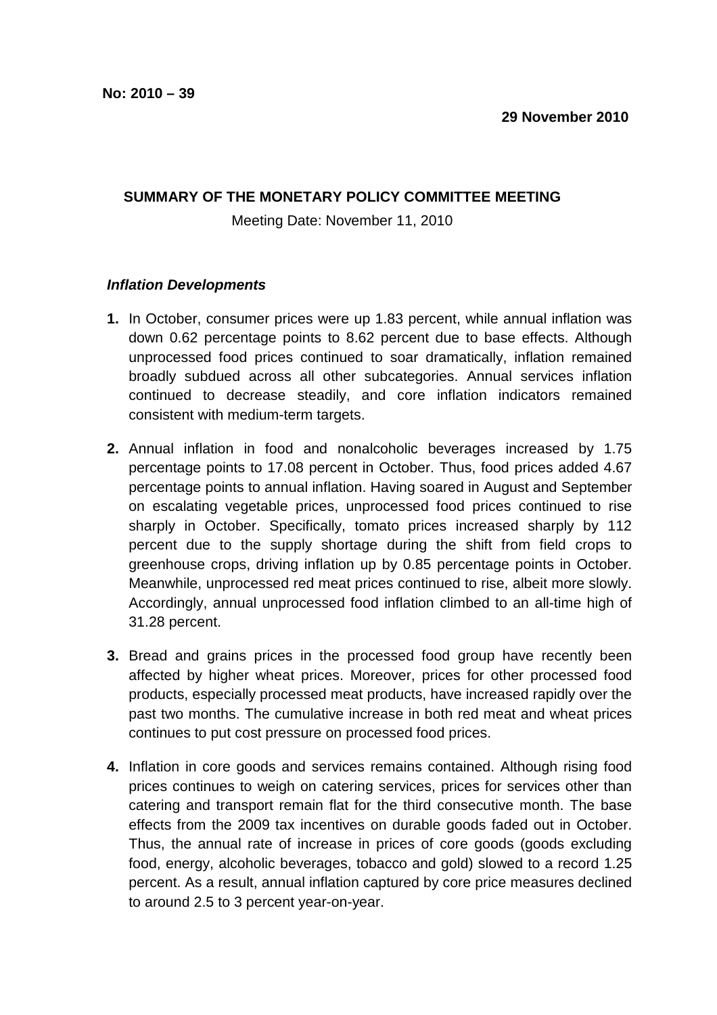## **SUMMARY OF THE MONETARY POLICY COMMITTEE MEETING**

Meeting Date: November 11, 2010

## **Inflation Developments**

- **1.** In October, consumer prices were up 1.83 percent, while annual inflation was down 0.62 percentage points to 8.62 percent due to base effects. Although unprocessed food prices continued to soar dramatically, inflation remained broadly subdued across all other subcategories. Annual services inflation continued to decrease steadily, and core inflation indicators remained consistent with medium-term targets.
- **2.** Annual inflation in food and nonalcoholic beverages increased by 1.75 percentage points to 17.08 percent in October. Thus, food prices added 4.67 percentage points to annual inflation. Having soared in August and September on escalating vegetable prices, unprocessed food prices continued to rise sharply in October. Specifically, tomato prices increased sharply by 112 percent due to the supply shortage during the shift from field crops to greenhouse crops, driving inflation up by 0.85 percentage points in October. Meanwhile, unprocessed red meat prices continued to rise, albeit more slowly. Accordingly, annual unprocessed food inflation climbed to an all-time high of 31.28 percent.
- **3.** Bread and grains prices in the processed food group have recently been affected by higher wheat prices. Moreover, prices for other processed food products, especially processed meat products, have increased rapidly over the past two months. The cumulative increase in both red meat and wheat prices continues to put cost pressure on processed food prices.
- **4.** Inflation in core goods and services remains contained. Although rising food prices continues to weigh on catering services, prices for services other than catering and transport remain flat for the third consecutive month. The base effects from the 2009 tax incentives on durable goods faded out in October. Thus, the annual rate of increase in prices of core goods (goods excluding food, energy, alcoholic beverages, tobacco and gold) slowed to a record 1.25 percent. As a result, annual inflation captured by core price measures declined to around 2.5 to 3 percent year-on-year.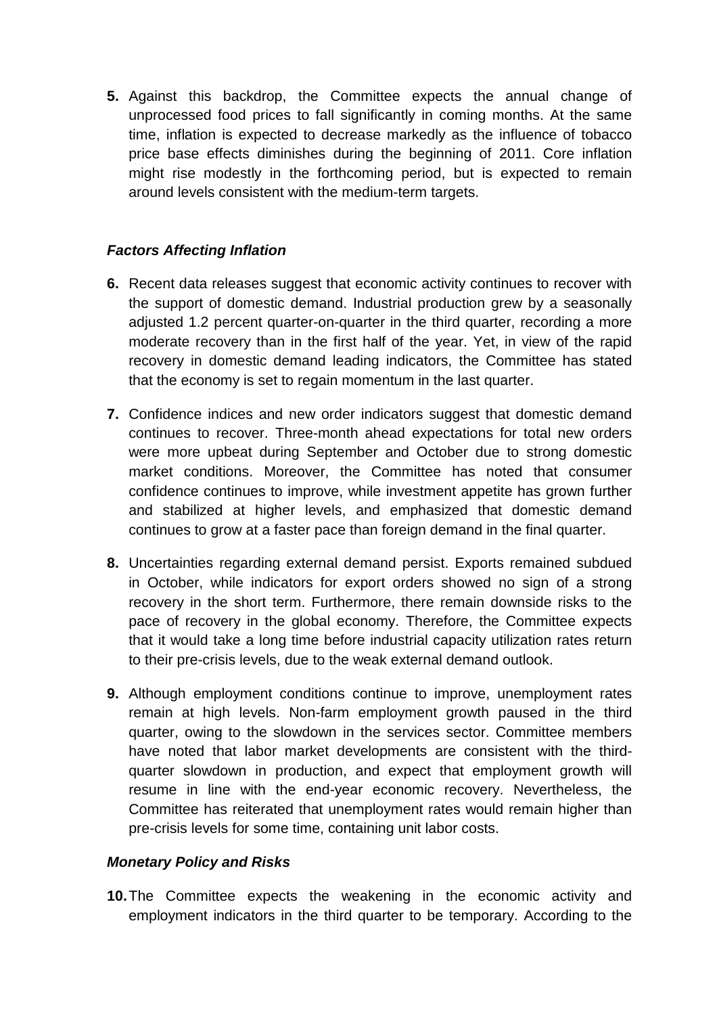**5.** Against this backdrop, the Committee expects the annual change of unprocessed food prices to fall significantly in coming months. At the same time, inflation is expected to decrease markedly as the influence of tobacco price base effects diminishes during the beginning of 2011. Core inflation might rise modestly in the forthcoming period, but is expected to remain around levels consistent with the medium-term targets.

## **Factors Affecting Inflation**

- **6.** Recent data releases suggest that economic activity continues to recover with the support of domestic demand. Industrial production grew by a seasonally adjusted 1.2 percent quarter-on-quarter in the third quarter, recording a more moderate recovery than in the first half of the year. Yet, in view of the rapid recovery in domestic demand leading indicators, the Committee has stated that the economy is set to regain momentum in the last quarter.
- **7.** Confidence indices and new order indicators suggest that domestic demand continues to recover. Three-month ahead expectations for total new orders were more upbeat during September and October due to strong domestic market conditions. Moreover, the Committee has noted that consumer confidence continues to improve, while investment appetite has grown further and stabilized at higher levels, and emphasized that domestic demand continues to grow at a faster pace than foreign demand in the final quarter.
- **8.** Uncertainties regarding external demand persist. Exports remained subdued in October, while indicators for export orders showed no sign of a strong recovery in the short term. Furthermore, there remain downside risks to the pace of recovery in the global economy. Therefore, the Committee expects that it would take a long time before industrial capacity utilization rates return to their pre-crisis levels, due to the weak external demand outlook.
- **9.** Although employment conditions continue to improve, unemployment rates remain at high levels. Non-farm employment growth paused in the third quarter, owing to the slowdown in the services sector. Committee members have noted that labor market developments are consistent with the thirdquarter slowdown in production, and expect that employment growth will resume in line with the end-year economic recovery. Nevertheless, the Committee has reiterated that unemployment rates would remain higher than pre-crisis levels for some time, containing unit labor costs.

## **Monetary Policy and Risks**

**10.** The Committee expects the weakening in the economic activity and employment indicators in the third quarter to be temporary. According to the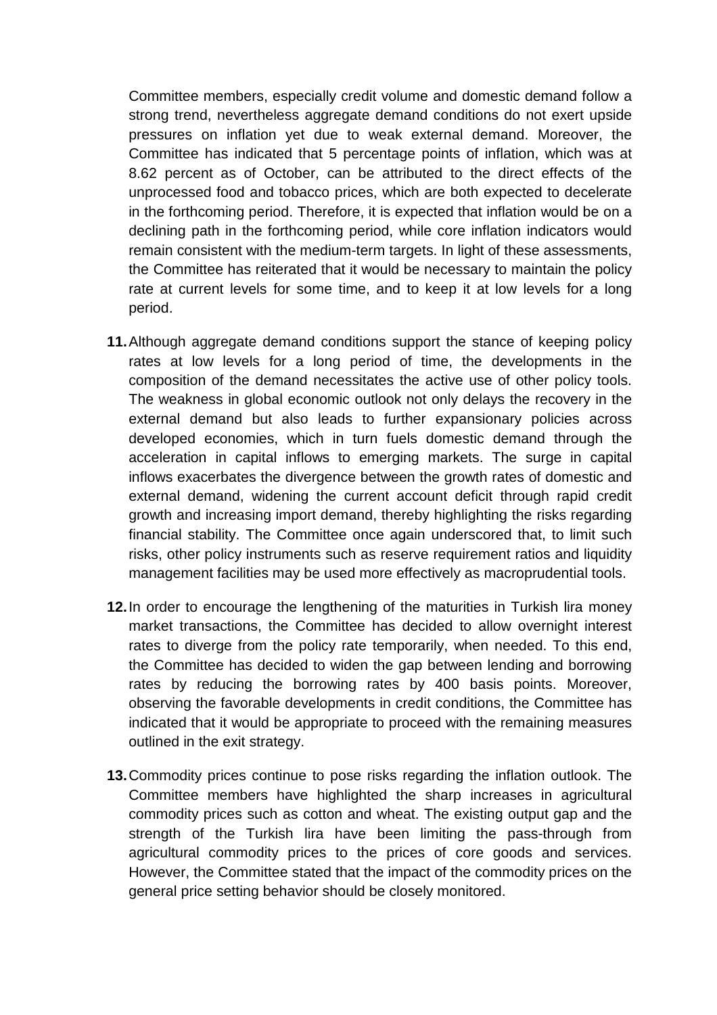Committee members, especially credit volume and domestic demand follow a strong trend, nevertheless aggregate demand conditions do not exert upside pressures on inflation yet due to weak external demand. Moreover, the Committee has indicated that 5 percentage points of inflation, which was at 8.62 percent as of October, can be attributed to the direct effects of the unprocessed food and tobacco prices, which are both expected to decelerate in the forthcoming period. Therefore, it is expected that inflation would be on a declining path in the forthcoming period, while core inflation indicators would remain consistent with the medium-term targets. In light of these assessments, the Committee has reiterated that it would be necessary to maintain the policy rate at current levels for some time, and to keep it at low levels for a long period.

- **11.** Although aggregate demand conditions support the stance of keeping policy rates at low levels for a long period of time, the developments in the composition of the demand necessitates the active use of other policy tools. The weakness in global economic outlook not only delays the recovery in the external demand but also leads to further expansionary policies across developed economies, which in turn fuels domestic demand through the acceleration in capital inflows to emerging markets. The surge in capital inflows exacerbates the divergence between the growth rates of domestic and external demand, widening the current account deficit through rapid credit growth and increasing import demand, thereby highlighting the risks regarding financial stability. The Committee once again underscored that, to limit such risks, other policy instruments such as reserve requirement ratios and liquidity management facilities may be used more effectively as macroprudential tools.
- **12.** In order to encourage the lengthening of the maturities in Turkish lira money market transactions, the Committee has decided to allow overnight interest rates to diverge from the policy rate temporarily, when needed. To this end, the Committee has decided to widen the gap between lending and borrowing rates by reducing the borrowing rates by 400 basis points. Moreover, observing the favorable developments in credit conditions, the Committee has indicated that it would be appropriate to proceed with the remaining measures outlined in the exit strategy.
- **13.** Commodity prices continue to pose risks regarding the inflation outlook. The Committee members have highlighted the sharp increases in agricultural commodity prices such as cotton and wheat. The existing output gap and the strength of the Turkish lira have been limiting the pass-through from agricultural commodity prices to the prices of core goods and services. However, the Committee stated that the impact of the commodity prices on the general price setting behavior should be closely monitored.